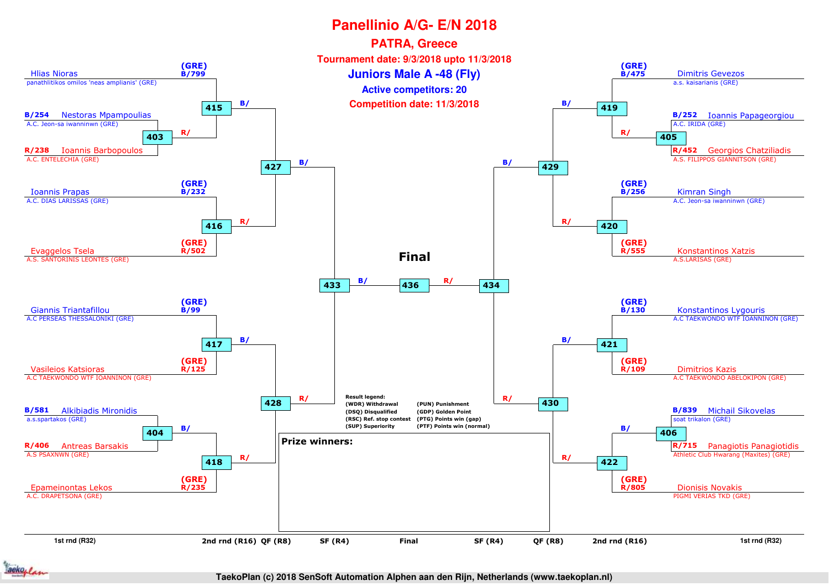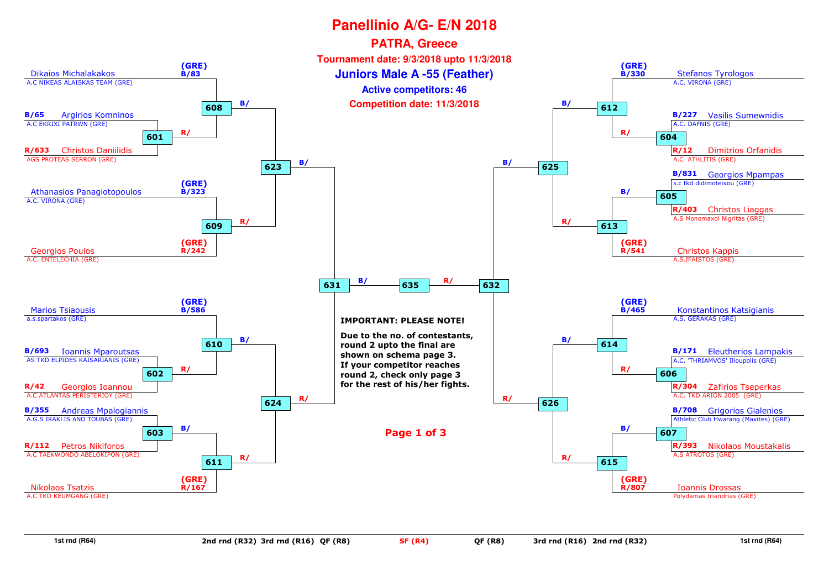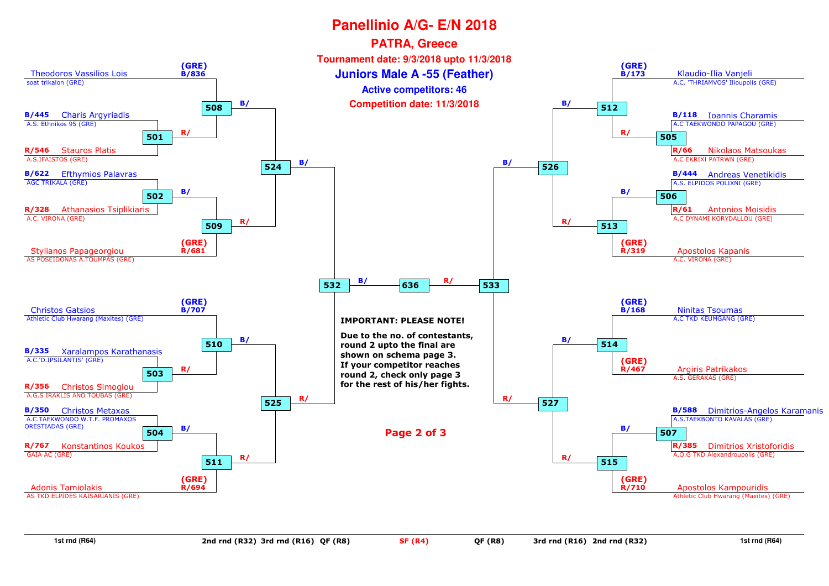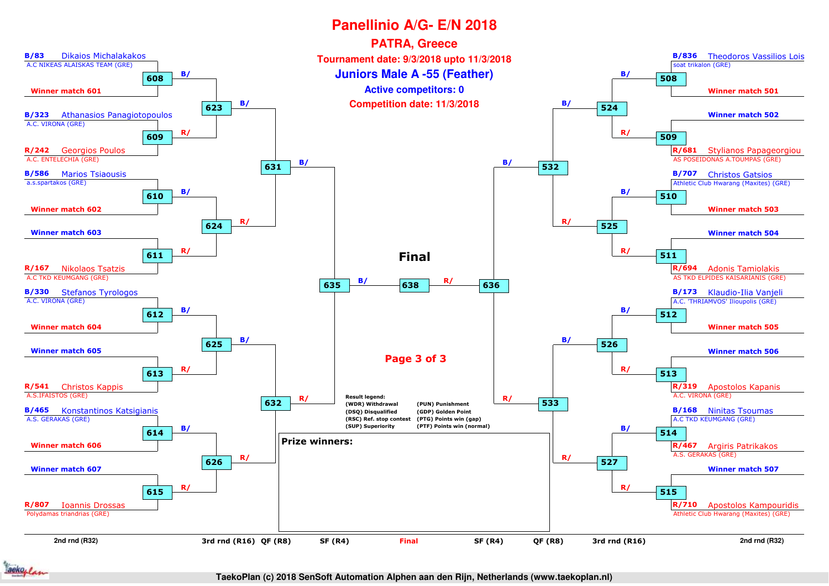

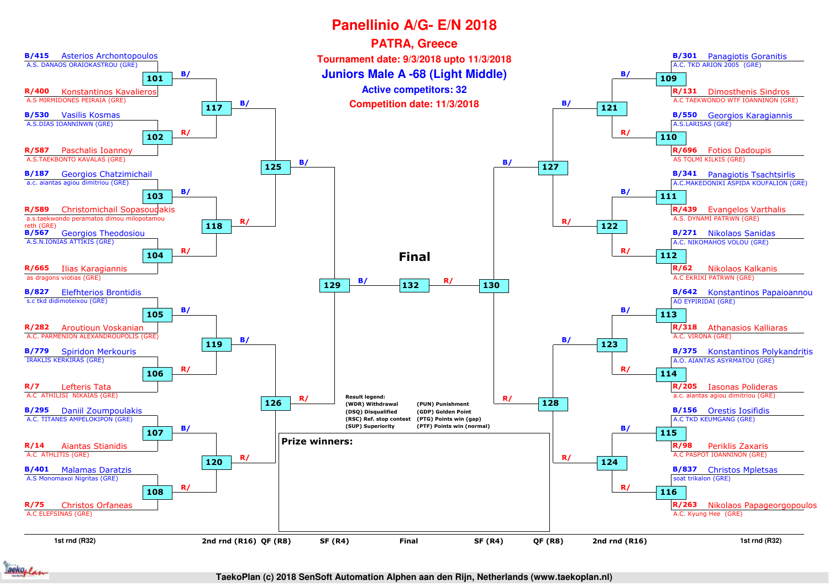

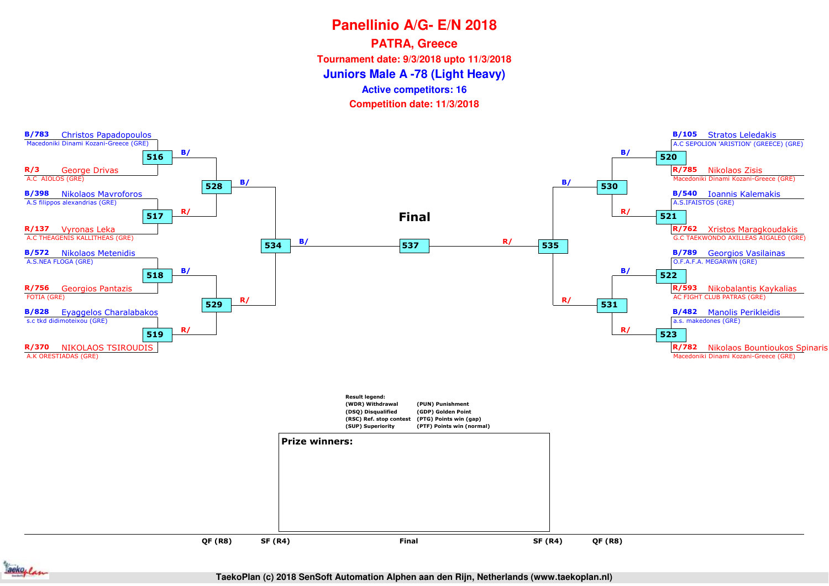**PATRA, Greece**

**Tournament date: 9/3/2018 upto 11/3/2018**

**Juniors Male A -78 (Light Heavy)**

**Active competitors: 16**

**Competition date: 11/3/2018**





**TaekoPlan (c) 2018 SenSoft Automation Alphen aan den Rijn, Netherlands (www.taekoplan.nl)**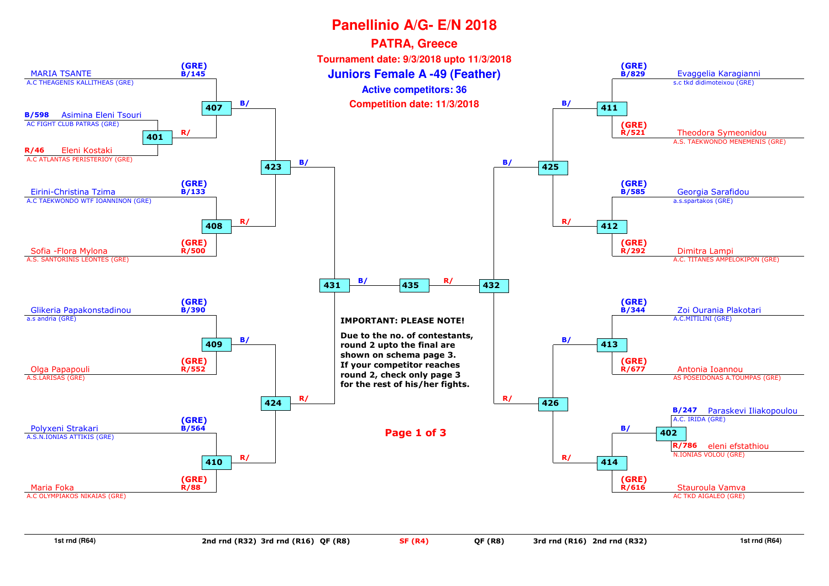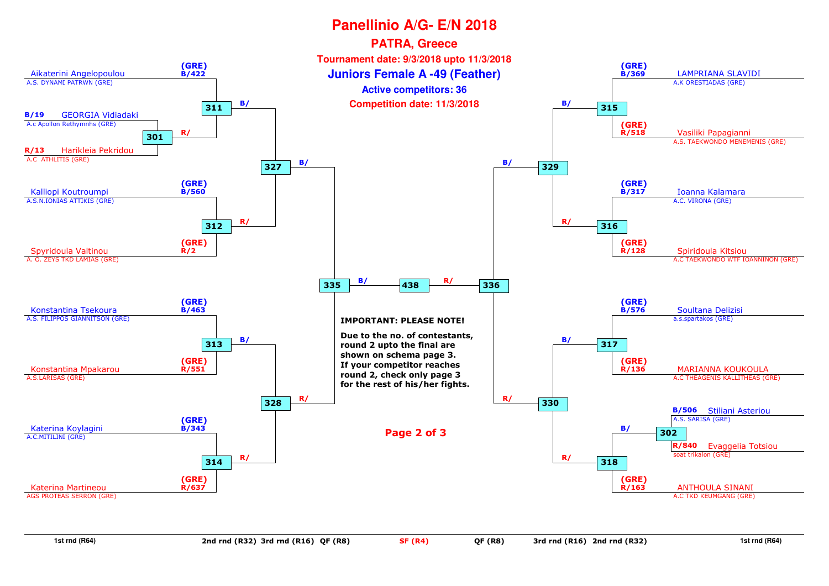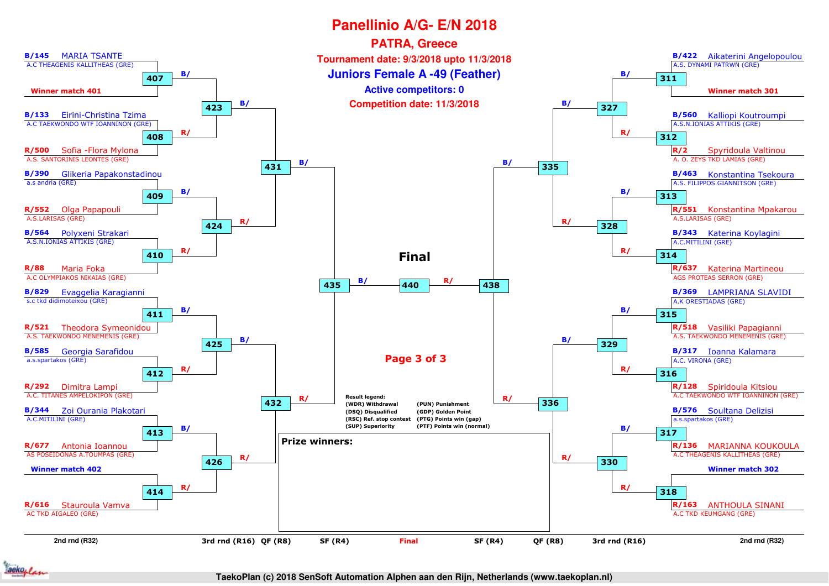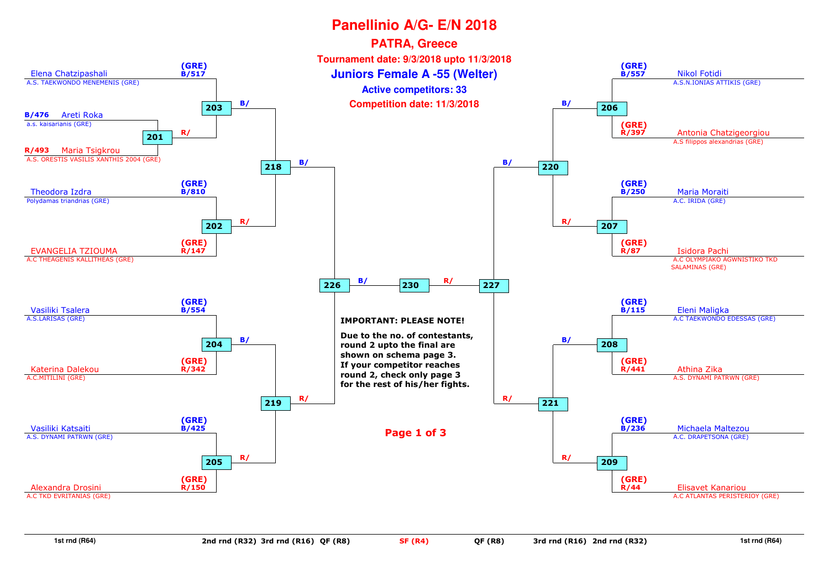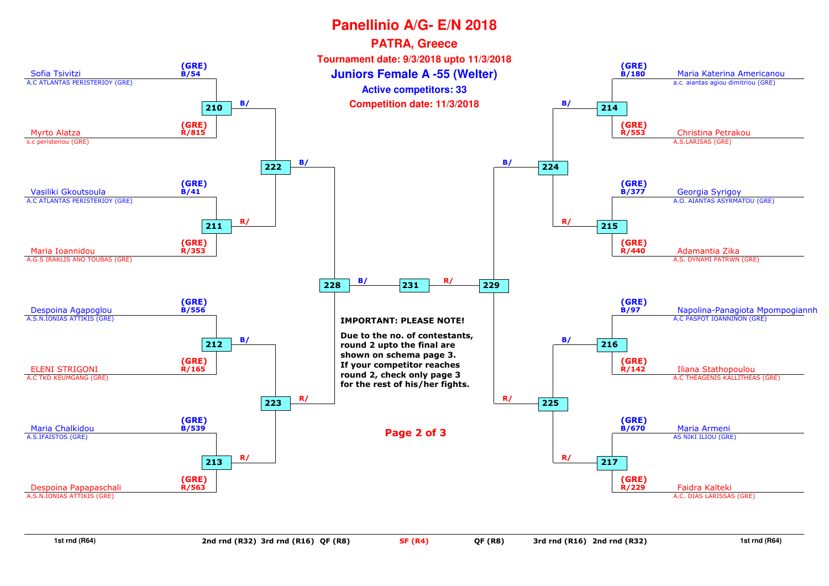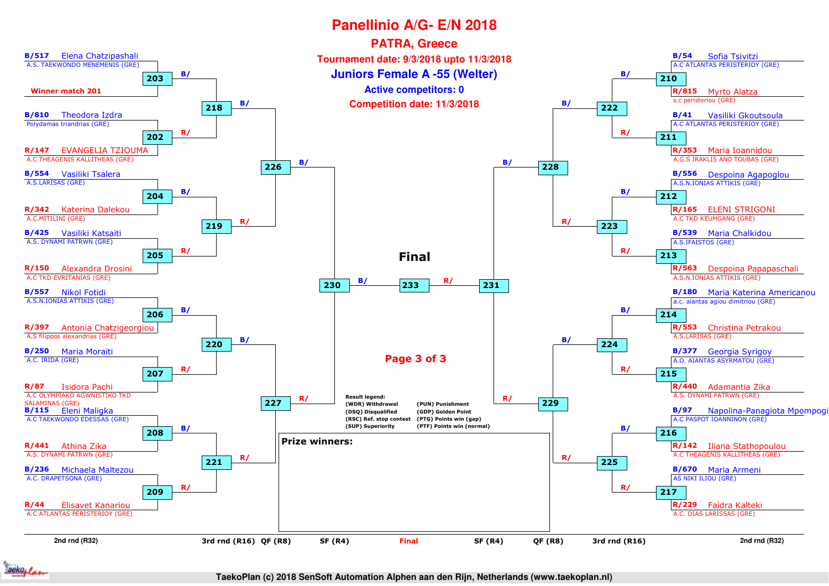

**TaekoPlan (c) 2018 SenSoft Automation Alphen aan den Rijn, Netherlands (www.taekoplan.nl)**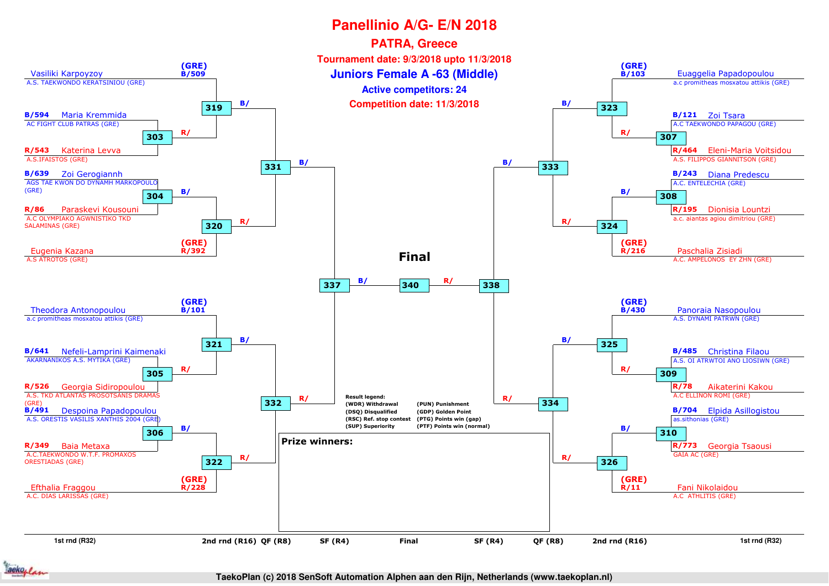